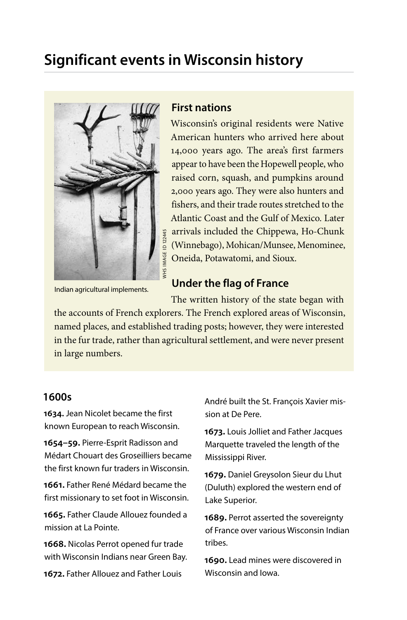# **Significant events in Wisconsin history**



Indian agricultural implements.

### **First nations**

Wisconsin's original residents were Native American hunters who arrived here about 14,000 years ago. The area's first farmers appear to have been the Hopewell people, who raised corn, squash, and pumpkins around 2,000 years ago. They were also hunters and fishers, and their trade routes stretched to the Atlantic Coast and the Gulf of Mexico. Later arrivals included the Chippewa, Ho-Chunk (Winnebago), Mohican/Munsee, Menominee, Oneida, Potawatomi, and Sioux.

# **Under the flag of France**

The written history of the state began with the accounts of French explorers. The French explored areas of Wisconsin, named places, and established trading posts; however, they were interested in the fur trade, rather than agricultural settlement, and were never present

in large numbers.

### **1600s**

**1634.** Jean Nicolet became the first known European to reach Wisconsin.

**1654–59.** Pierre-Esprit Radisson and Médart Chouart des Groseilliers became the first known fur traders in Wisconsin.

**1661.** Father René Médard became the first missionary to set foot in Wisconsin.

**1665.** Father Claude Allouez founded a mission at La Pointe.

**1668.** Nicolas Perrot opened fur trade with Wisconsin Indians near Green Bay.

**1672.** Father Allouez and Father Louis

André built the St. François Xavier mission at De Pere.

**1673.** Louis Jolliet and Father Jacques Marquette traveled the length of the Mississippi River.

**1679.** Daniel Greysolon Sieur du Lhut (Duluth) explored the western end of Lake Superior.

**1689.** Perrot asserted the sovereignty of France over various Wisconsin Indian tribes.

**1690.** Lead mines were discovered in Wisconsin and Iowa.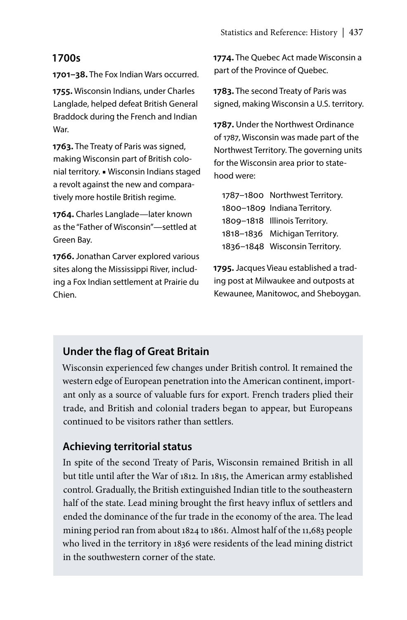### **1700s**

**1701–38.** The Fox Indian Wars occurred.

**1755.** Wisconsin Indians, under Charles Langlade, helped defeat British General Braddock during the French and Indian War.

**1763.** The Treaty of Paris was signed, making Wisconsin part of British colonial territory. ■ Wisconsin Indians staged a revolt against the new and comparatively more hostile British regime.

**1764.** Charles Langlade—later known as the "Father of Wisconsin"—settled at Green Bay.

**1766.** Jonathan Carver explored various sites along the Mississippi River, including a Fox Indian settlement at Prairie du Chien.

**1774.** The Quebec Act made Wisconsin a part of the Province of Quebec.

**1783.** The second Treaty of Paris was signed, making Wisconsin a U.S. territory.

**1787.** Under the Northwest Ordinance of 1787, Wisconsin was made part of the Northwest Territory. The governing units for the Wisconsin area prior to statehood were:

1787–1800 Northwest Territory. 1800–1809 Indiana Territory. 1809–1818 Illinois Territory. 1818–1836 Michigan Territory. 1836–1848 Wisconsin Territory.

**1795.** Jacques Vieau established a trading post at Milwaukee and outposts at Kewaunee, Manitowoc, and Sheboygan.

# **Under the flag of Great Britain**

Wisconsin experienced few changes under British control. It remained the western edge of European penetration into the American continent, important only as a source of valuable furs for export. French traders plied their trade, and British and colonial traders began to appear, but Europeans continued to be visitors rather than settlers.

# **Achieving territorial status**

In spite of the second Treaty of Paris, Wisconsin remained British in all but title until after the War of 1812. In 1815, the American army established control. Gradually, the British extinguished Indian title to the southeastern half of the state. Lead mining brought the first heavy influx of settlers and ended the dominance of the fur trade in the economy of the area. The lead mining period ran from about 1824 to 1861. Almost half of the 11,683 people who lived in the territory in 1836 were residents of the lead mining district in the southwestern corner of the state.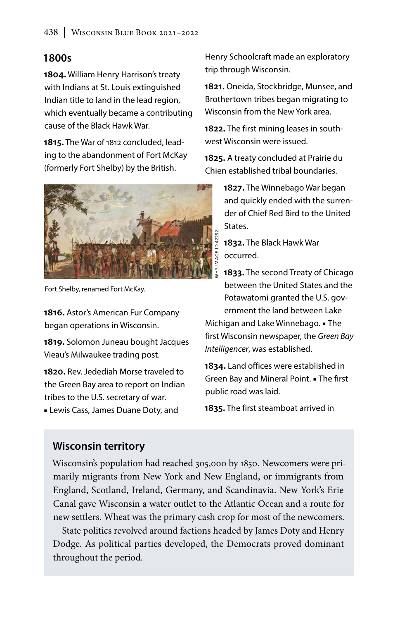# **1800s**

**1804.** William Henry Harrison's treaty with Indians at St. Louis extinguished Indian title to land in the lead region, which eventually became a contributing cause of the Black Hawk War.

**1815.** The War of 1812 concluded, leading to the abandonment of Fort McKay (formerly Fort Shelby) by the British.



Fort Shelby, renamed Fort McKay.

**1816.** Astor's American Fur Company began operations in Wisconsin.

**1819.** Solomon Juneau bought Jacques Vieau's Milwaukee trading post.

**1820.** Rev. Jedediah Morse traveled to the Green Bay area to report on Indian tribes to the U.S. secretary of war.

■ Lewis Cass, James Duane Doty, and

Henry Schoolcraft made an exploratory trip through Wisconsin.

**1821.** Oneida, Stockbridge, Munsee, and Brothertown tribes began migrating to Wisconsin from the New York area.

1822. The first mining leases in southwest Wisconsin were issued.

**1825.** A treaty concluded at Prairie du Chien established tribal boundaries.

> **1827.** The Winnebago War began and quickly ended with the surrender of Chief Red Bird to the United **States**

**1832.** The Black Hawk War occurred.

**1833.** The second Treaty of Chicago between the United States and the Potawatomi granted the U.S. government the land between Lake

Michigan and Lake Winnebago. ■ The first Wisconsin newspaper, the *Green Bay Intelligencer*, was established.

**1834.** Land offices were established in Green Bay and Mineral Point. ■ The first public road was laid.

**1835.** The first steamboat arrived in

# **Wisconsin territory**

Wisconsin's population had reached 305,000 by 1850. Newcomers were primarily migrants from New York and New England, or immigrants from England, Scotland, Ireland, Germany, and Scandinavia. New York's Erie Canal gave Wisconsin a water outlet to the Atlantic Ocean and a route for new settlers. Wheat was the primary cash crop for most of the newcomers.

State politics revolved around factions headed by James Doty and Henry Dodge. As political parties developed, the Democrats proved dominant throughout the period.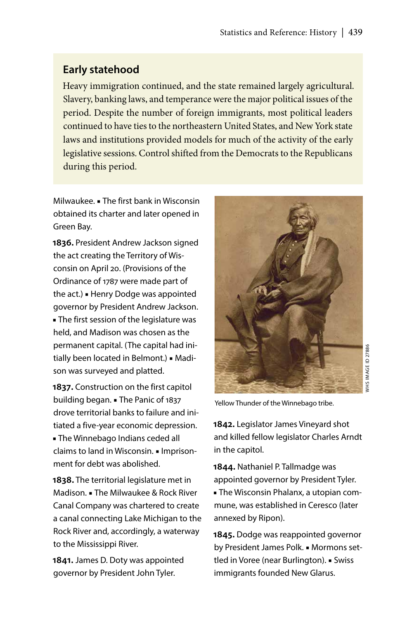# **Early statehood**

Heavy immigration continued, and the state remained largely agricultural. Slavery, banking laws, and temperance were the major political issues of the period. Despite the number of foreign immigrants, most political leaders continued to have ties to the northeastern United States, and New York state laws and institutions provided models for much of the activity of the early legislative sessions. Control shifted from the Democrats to the Republicans during this period.

Milwaukee. ■ The first bank in Wisconsin obtained its charter and later opened in Green Bay.

**1836.** President Andrew Jackson signed the act creating the Territory of Wisconsin on April 20. (Provisions of the Ordinance of 1787 were made part of the act.) ■ Henry Dodge was appointed governor by President Andrew Jackson. ■ The first session of the legislature was held, and Madison was chosen as the permanent capital. (The capital had initially been located in Belmont.) ■ Madison was surveyed and platted.

**1837.** Construction on the first capitol building began. ■ The Panic of 1837 drove territorial banks to failure and initiated a five-year economic depression. ■ The Winnebago Indians ceded all claims to land in Wisconsin. ■ Imprisonment for debt was abolished.

**1838.** The territorial legislature met in Madison. ■ The Milwaukee & Rock River Canal Company was chartered to create a canal connecting Lake Michigan to the Rock River and, accordingly, a waterway to the Mississippi River.

**1841.** James D. Doty was appointed governor by President John Tyler.



WHS IMAGE ID 27886 WHS IMAGE ID 27886

Yellow Thunder of the Winnebago tribe.

**1842.** Legislator James Vineyard shot and killed fellow legislator Charles Arndt in the capitol.

**1844.** Nathaniel P. Tallmadge was appointed governor by President Tyler. ■ The Wisconsin Phalanx, a utopian commune, was established in Ceresco (later annexed by Ripon).

**1845.** Dodge was reappointed governor by President James Polk. ■ Mormons settled in Voree (near Burlington). ■ Swiss immigrants founded New Glarus.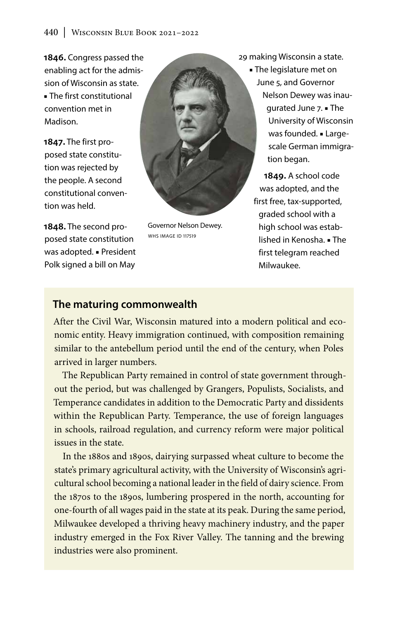**1846.** Congress passed the enabling act for the admission of Wisconsin as state. ■ The first constitutional convention met in Madison.

**1847.** The first proposed state constitution was rejected by the people. A second constitutional convention was held.

**1848.** The second proposed state constitution was adopted. ■ President Polk signed a bill on May



Governor Nelson Dewey. WHS IMAGE ID 117519

29 making Wisconsin a state.

■ The legislature met on June 5, and Governor Nelson Dewey was inaugurated June 7. ■ The University of Wisconsin was founded. ■ Largescale German immigration began.

**1849.** A school code was adopted, and the first free, tax-supported, graded school with a high school was established in Kenosha. ■ The first telegram reached Milwaukee.

# **The maturing commonwealth**

After the Civil War, Wisconsin matured into a modern political and economic entity. Heavy immigration continued, with composition remaining similar to the antebellum period until the end of the century, when Poles arrived in larger numbers.

The Republican Party remained in control of state government throughout the period, but was challenged by Grangers, Populists, Socialists, and Temperance candidates in addition to the Democratic Party and dissidents within the Republican Party. Temperance, the use of foreign languages in schools, railroad regulation, and currency reform were major political issues in the state.

In the 1880s and 1890s, dairying surpassed wheat culture to become the state's primary agricultural activity, with the University of Wisconsin's agricultural school becoming a national leader in the field of dairy science. From the 1870s to the 1890s, lumbering prospered in the north, accounting for one-fourth of all wages paid in the state at its peak. During the same period, Milwaukee developed a thriving heavy machinery industry, and the paper industry emerged in the Fox River Valley. The tanning and the brewing industries were also prominent.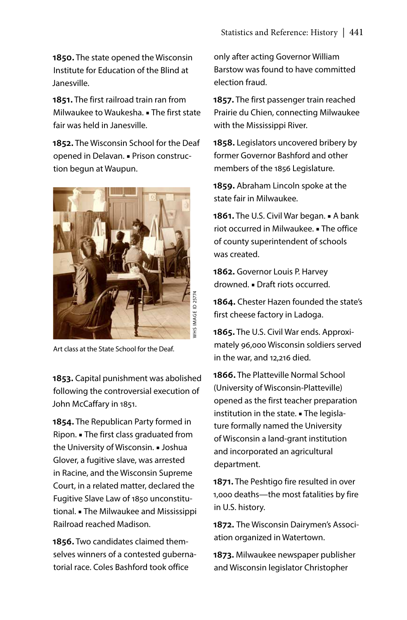**1850.** The state opened the Wisconsin Institute for Education of the Blind at Janesville.

**1851.** The first railroad train ran from Milwaukee to Waukesha. ■ The first state fair was held in Janesville.

**1852.** The Wisconsin School for the Deaf opened in Delavan. ■ Prison construction begun at Waupun.



Art class at the State School for the Deaf.

**1853.** Capital punishment was abolished following the controversial execution of John McCaffary in 1851.

**1854.** The Republican Party formed in Ripon. ■ The first class graduated from the University of Wisconsin. ■ Joshua Glover, a fugitive slave, was arrested in Racine, and the Wisconsin Supreme Court, in a related matter, declared the Fugitive Slave Law of 1850 unconstitutional. ■ The Milwaukee and Mississippi Railroad reached Madison.

**1856.** Two candidates claimed themselves winners of a contested gubernatorial race. Coles Bashford took office

only after acting Governor William Barstow was found to have committed election fraud.

**1857.** The first passenger train reached Prairie du Chien, connecting Milwaukee with the Mississippi River.

**1858.** Legislators uncovered bribery by former Governor Bashford and other members of the 1856 Legislature.

**1859.** Abraham Lincoln spoke at the state fair in Milwaukee.

**1861.** The U.S. Civil War began. ■ A bank riot occurred in Milwaukee. ■ The office of county superintendent of schools was created.

**1862.** Governor Louis P. Harvey drowned. ■ Draft riots occurred.

**1864.** Chester Hazen founded the state's first cheese factory in Ladoga.

**1865.** The U.S. Civil War ends. Approximately 96,000 Wisconsin soldiers served in the war, and 12,216 died.

**1866.** The Platteville Normal School (University of Wisconsin-Platteville) opened as the first teacher preparation institution in the state. ■ The legislature formally named the University of Wisconsin a land-grant institution and incorporated an agricultural department.

**1871.** The Peshtigo fire resulted in over 1,000 deaths—the most fatalities by fire in U.S. history.

**1872.** The Wisconsin Dairymen's Association organized in Watertown.

**1873.** Milwaukee newspaper publisher and Wisconsin legislator Christopher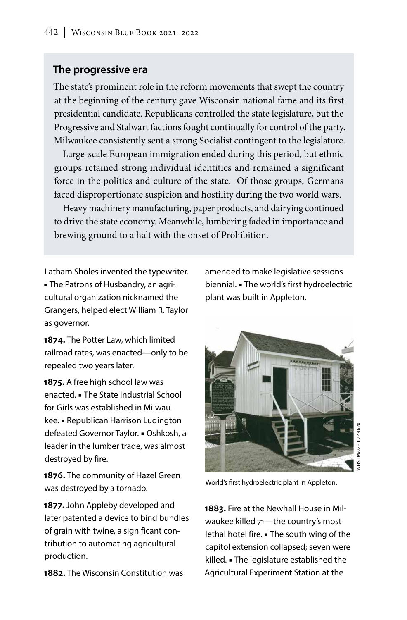### **The progressive era**

The state's prominent role in the reform movements that swept the country at the beginning of the century gave Wisconsin national fame and its first presidential candidate. Republicans controlled the state legislature, but the Progressive and Stalwart factions fought continually for control of the party. Milwaukee consistently sent a strong Socialist contingent to the legislature.

Large-scale European immigration ended during this period, but ethnic groups retained strong individual identities and remained a significant force in the politics and culture of the state. Of those groups, Germans faced disproportionate suspicion and hostility during the two world wars.

Heavy machinery manufacturing, paper products, and dairying continued to drive the state economy. Meanwhile, lumbering faded in importance and brewing ground to a halt with the onset of Prohibition.

Latham Sholes invented the typewriter. ■ The Patrons of Husbandry, an agricultural organization nicknamed the Grangers, helped elect William R. Taylor as governor.

**1874.** The Potter Law, which limited railroad rates, was enacted—only to be repealed two years later.

**1875.** A free high school law was enacted. ■ The State Industrial School for Girls was established in Milwaukee. ■ Republican Harrison Ludington defeated Governor Taylor. ■ Oshkosh, a leader in the lumber trade, was almost destroyed by fire.

**1876.** The community of Hazel Green was destroyed by a tornado.

**1877.** John Appleby developed and later patented a device to bind bundles of grain with twine, a significant contribution to automating agricultural production.

**1882.** The Wisconsin Constitution was

amended to make legislative sessions biennial. ■ The world's first hydroelectric plant was built in Appleton.



World's first hydroelectric plant in Appleton.

**1883.** Fire at the Newhall House in Milwaukee killed 71—the country's most lethal hotel fire. ■ The south wing of the capitol extension collapsed; seven were killed. ■ The legislature established the Agricultural Experiment Station at the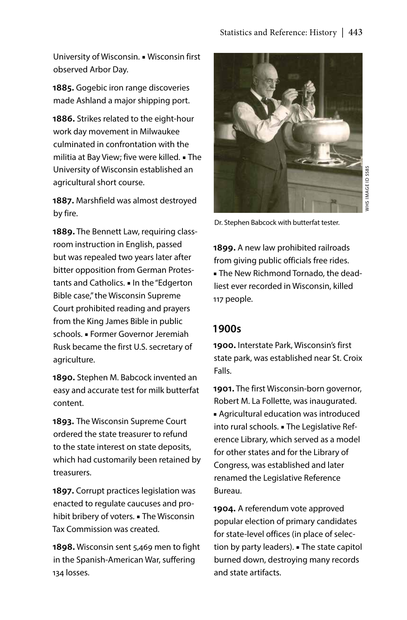University of Wisconsin. ■ Wisconsin first observed Arbor Day.

**1885.** Gogebic iron range discoveries made Ashland a major shipping port.

**1886.** Strikes related to the eight-hour work day movement in Milwaukee culminated in confrontation with the militia at Bay View; five were killed. ■ The University of Wisconsin established an agricultural short course.

**1887.** Marshfield was almost destroyed by fire.

**1889.** The Bennett Law, requiring classroom instruction in English, passed but was repealed two years later after bitter opposition from German Protestants and Catholics. ■ In the "Edgerton Bible case," the Wisconsin Supreme Court prohibited reading and prayers from the King James Bible in public schools. ■ Former Governor Jeremiah Rusk became the first U.S. secretary of agriculture.

**1890.** Stephen M. Babcock invented an easy and accurate test for milk butterfat content.

**1893.** The Wisconsin Supreme Court ordered the state treasurer to refund to the state interest on state deposits, which had customarily been retained by treasurers.

**1897.** Corrupt practices legislation was enacted to regulate caucuses and prohibit bribery of voters. ■ The Wisconsin Tax Commission was created.

**1898.** Wisconsin sent 5,469 men to fight in the Spanish-American War, suffering 134 losses.



WHS IMAGE ID 5585 VHS IMAGE ID 5585

Dr. Stephen Babcock with butterfat tester.

**1899.** A new law prohibited railroads from giving public officials free rides. ■ The New Richmond Tornado, the deadliest ever recorded in Wisconsin, killed 117 people.

#### **1900s**

**1900.** Interstate Park, Wisconsin's first state park, was established near St. Croix Falls.

**1901.** The first Wisconsin-born governor, Robert M. La Follette, was inaugurated. ■ Agricultural education was introduced into rural schools. ■ The Legislative Reference Library, which served as a model for other states and for the Library of Congress, was established and later renamed the Legislative Reference Bureau.

**1904.** A referendum vote approved popular election of primary candidates for state-level offices (in place of selection by party leaders). ■ The state capitol burned down, destroying many records and state artifacts.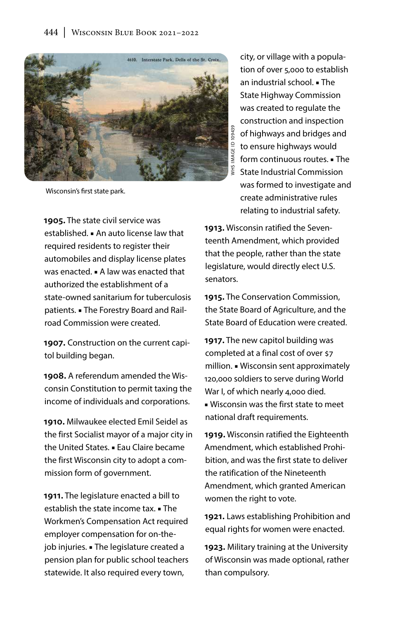

Wisconsin's first state park.

**1905.** The state civil service was established. ■ An auto license law that required residents to register their automobiles and display license plates was enacted. ■ A law was enacted that authorized the establishment of a state-owned sanitarium for tuberculosis patients. ■ The Forestry Board and Railroad Commission were created.

**1907.** Construction on the current capitol building began.

**1908.** A referendum amended the Wisconsin Constitution to permit taxing the income of individuals and corporations.

**1910.** Milwaukee elected Emil Seidel as the first Socialist mayor of a major city in the United States. ■ Eau Claire became the first Wisconsin city to adopt a commission form of government.

**1911.** The legislature enacted a bill to establish the state income tax. ■ The Workmen's Compensation Act required employer compensation for on-thejob injuries. ■ The legislature created a pension plan for public school teachers statewide. It also required every town,

city, or village with a population of over 5,000 to establish an industrial school. ■ The State Highway Commission was created to regulate the construction and inspection of highways and bridges and to ensure highways would form continuous routes. ■ The State Industrial Commission was formed to investigate and create administrative rules relating to industrial safety.

**1913.** Wisconsin ratified the Seventeenth Amendment, which provided that the people, rather than the state legislature, would directly elect U.S. senators.

**1915.** The Conservation Commission, the State Board of Agriculture, and the State Board of Education were created.

**1917.** The new capitol building was completed at a final cost of over \$7 million. ■ Wisconsin sent approximately 120,000 soldiers to serve during World War I, of which nearly 4,000 died.

■ Wisconsin was the first state to meet national draft requirements.

**1919.** Wisconsin ratified the Eighteenth Amendment, which established Prohibition, and was the first state to deliver the ratification of the Nineteenth Amendment, which granted American women the right to vote.

**1921.** Laws establishing Prohibition and equal rights for women were enacted.

**1923.** Military training at the University of Wisconsin was made optional, rather than compulsory.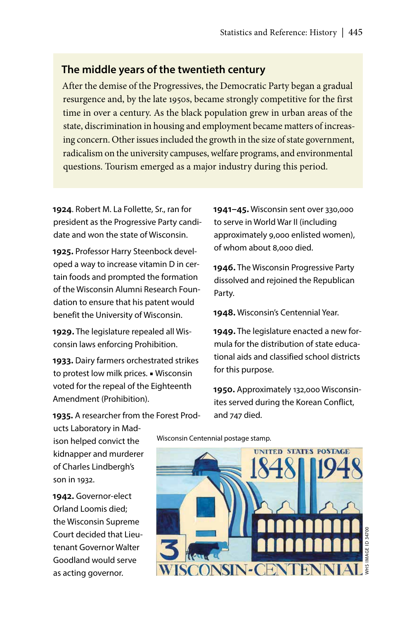### **The middle years of the twentieth century**

After the demise of the Progressives, the Democratic Party began a gradual resurgence and, by the late 1950s, became strongly competitive for the first time in over a century. As the black population grew in urban areas of the state, discrimination in housing and employment became matters of increasing concern. Other issues included the growth in the size of state government, radicalism on the university campuses, welfare programs, and environmental questions. Tourism emerged as a major industry during this period.

**1924**. Robert M. La Follette, Sr., ran for president as the Progressive Party candidate and won the state of Wisconsin.

**1925.** Professor Harry Steenbock developed a way to increase vitamin D in certain foods and prompted the formation of the Wisconsin Alumni Research Foundation to ensure that his patent would benefit the University of Wisconsin.

**1929.** The legislature repealed all Wisconsin laws enforcing Prohibition.

**1933.** Dairy farmers orchestrated strikes to protest low milk prices. ■ Wisconsin voted for the repeal of the Eighteenth Amendment (Prohibition).

**1941–45.** Wisconsin sent over 330,000 to serve in World War II (including approximately 9,000 enlisted women), of whom about 8,000 died.

**1946.** The Wisconsin Progressive Party dissolved and rejoined the Republican Party.

**1948.** Wisconsin's Centennial Year.

**1949.** The legislature enacted a new formula for the distribution of state educational aids and classified school districts for this purpose.

**1950.** Approximately 132,000 Wisconsinites served during the Korean Conflict, and 747 died.

**1935.** A researcher from the Forest Prod-

ucts Laboratory in Madison helped convict the kidnapper and murderer of Charles Lindbergh's son in 1932.

**1942.** Governor-elect Orland Loomis died; the Wisconsin Supreme Court decided that Lieutenant Governor Walter Goodland would serve as acting governor.

Wisconsin Centennial postage stamp.

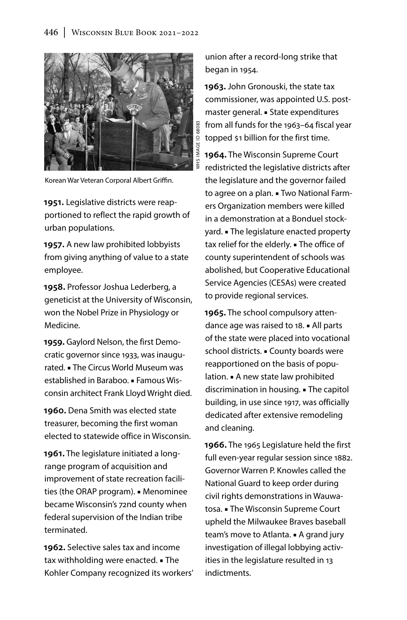

Korean War Veteran Corporal Albert Griffin.

**1951.** Legislative districts were reapportioned to reflect the rapid growth of urban populations.

**1957.** A new law prohibited lobbyists from giving anything of value to a state employee.

**1958.** Professor Joshua Lederberg, a geneticist at the University of Wisconsin, won the Nobel Prize in Physiology or Medicine.

**1959.** Gaylord Nelson, the first Democratic governor since 1933, was inaugurated. ■ The Circus World Museum was established in Baraboo. ■ Famous Wisconsin architect Frank Lloyd Wright died.

**1960.** Dena Smith was elected state treasurer, becoming the first woman elected to statewide office in Wisconsin.

**1961.** The legislature initiated a longrange program of acquisition and improvement of state recreation facilities (the ORAP program). ■ Menominee became Wisconsin's 72nd county when federal supervision of the Indian tribe terminated.

**1962.** Selective sales tax and income tax withholding were enacted. ■ The Kohler Company recognized its workers' union after a record-long strike that began in 1954.

**1963.** John Gronouski, the state tax commissioner, was appointed U.S. postmaster general. ■ State expenditures from all funds for the 1963–64 fiscal year topped \$1 billion for the first time.

**1964.** The Wisconsin Supreme Court redistricted the legislative districts after the legislature and the governor failed to agree on a plan. ■ Two National Farmers Organization members were killed in a demonstration at a Bonduel stockyard. ■ The legislature enacted property tax relief for the elderly. ■ The office of county superintendent of schools was abolished, but Cooperative Educational Service Agencies (CESAs) were created to provide regional services.

**1965.** The school compulsory attendance age was raised to 18. ■ All parts of the state were placed into vocational school districts. ■ County boards were reapportioned on the basis of population. ■ A new state law prohibited discrimination in housing. ■ The capitol building, in use since 1917, was officially dedicated after extensive remodeling and cleaning.

**1966.** The 1965 Legislature held the first full even-year regular session since 1882. Governor Warren P. Knowles called the National Guard to keep order during civil rights demonstrations in Wauwatosa. ■ The Wisconsin Supreme Court upheld the Milwaukee Braves baseball team's move to Atlanta. ■ A grand jury investigation of illegal lobbying activities in the legislature resulted in 13 indictments.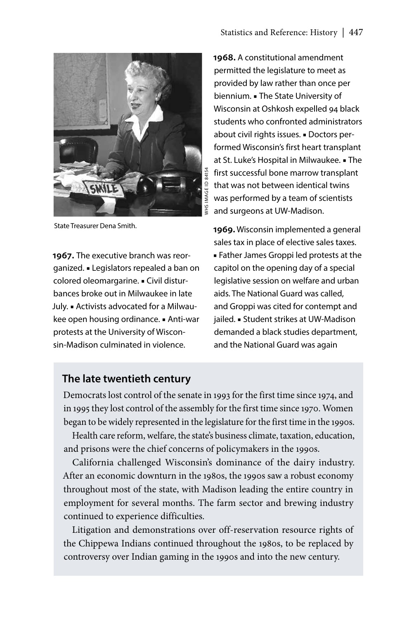

State Treasurer Dena Smith.

**1967.** The executive branch was reorganized. ■ Legislators repealed a ban on colored oleomargarine. ■ Civil disturbances broke out in Milwaukee in late July. ■ Activists advocated for a Milwaukee open housing ordinance. ■ Anti-war protests at the University of Wisconsin-Madison culminated in violence.

**1968.** A constitutional amendment permitted the legislature to meet as provided by law rather than once per biennium. ■ The State University of Wisconsin at Oshkosh expelled 94 black students who confronted administrators about civil rights issues. ■ Doctors performed Wisconsin's first heart transplant at St. Luke's Hospital in Milwaukee. ■ The first successful bone marrow transplant that was not between identical twins was performed by a team of scientists and surgeons at UW-Madison.

**1969.** Wisconsin implemented a general sales tax in place of elective sales taxes. ■ Father James Groppi led protests at the capitol on the opening day of a special legislative session on welfare and urban aids. The National Guard was called, and Groppi was cited for contempt and jailed. ■ Student strikes at UW-Madison demanded a black studies department, and the National Guard was again

# **The late twentieth century**

Democrats lost control of the senate in 1993 for the first time since 1974, and in 1995 they lost control of the assembly for the first time since 1970. Women began to be widely represented in the legislature for the first time in the 1990s.

Health care reform, welfare, the state's business climate, taxation, education, and prisons were the chief concerns of policymakers in the 1990s.

California challenged Wisconsin's dominance of the dairy industry. After an economic downturn in the 1980s, the 1990s saw a robust economy throughout most of the state, with Madison leading the entire country in employment for several months. The farm sector and brewing industry continued to experience difficulties.

Litigation and demonstrations over off-reservation resource rights of the Chippewa Indians continued throughout the 1980s, to be replaced by controversy over Indian gaming in the 1990s and into the new century.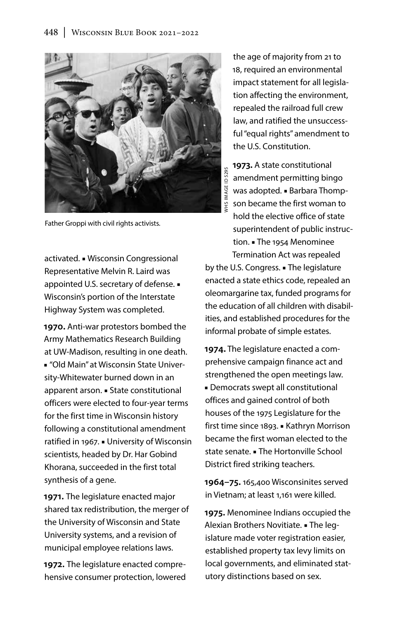

Father Groppi with civil rights activists.

activated. ■ Wisconsin Congressional Representative Melvin R. Laird was appointed U.S. secretary of defense. ■ Wisconsin's portion of the Interstate Highway System was completed.

**1970.** Anti-war protestors bombed the Army Mathematics Research Building at UW-Madison, resulting in one death. ■ "Old Main" at Wisconsin State University-Whitewater burned down in an apparent arson. ■ State constitutional officers were elected to four-year terms for the first time in Wisconsin history following a constitutional amendment ratified in 1967. ■ University of Wisconsin scientists, headed by Dr. Har Gobind Khorana, succeeded in the first total synthesis of a gene.

**1971.** The legislature enacted major shared tax redistribution, the merger of the University of Wisconsin and State University systems, and a revision of municipal employee relations laws.

**1972.** The legislature enacted comprehensive consumer protection, lowered

the age of majority from 21 to 18, required an environmental impact statement for all legislation affecting the environment, repealed the railroad full crew law, and ratified the unsuccessful "equal rights" amendment to the U.S. Constitution.

**1973.** A state constitutional VHS IMAGE ID 5295 WHS IMAGE ID 5295amendment permitting bingo was adopted. ■ Barbara Thompson became the first woman to hold the elective office of state superintendent of public instruction. ■ The 1954 Menominee Termination Act was repealed by the U.S. Congress. ■ The legislature enacted a state ethics code, repealed an oleomargarine tax, funded programs for the education of all children with disabilities, and established procedures for the

**1974.** The legislature enacted a comprehensive campaign finance act and strengthened the open meetings law. ■ Democrats swept all constitutional offices and gained control of both houses of the 1975 Legislature for the first time since 1893. ■ Kathryn Morrison became the first woman elected to the state senate. ■ The Hortonville School District fired striking teachers.

informal probate of simple estates.

**1964–75.** 165,400 Wisconsinites served in Vietnam; at least 1,161 were killed.

**1975.** Menominee Indians occupied the Alexian Brothers Novitiate. ■ The legislature made voter registration easier, established property tax levy limits on local governments, and eliminated statutory distinctions based on sex.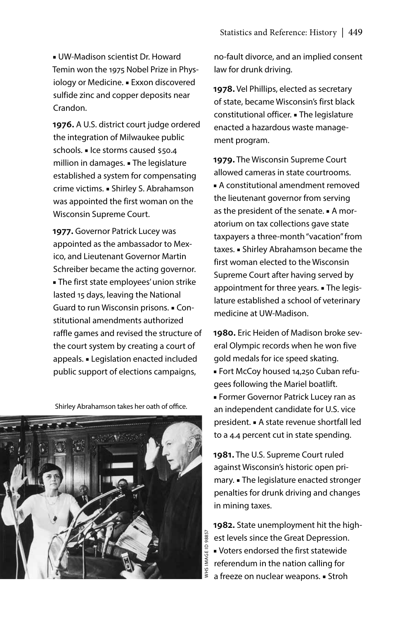■ UW-Madison scientist Dr. Howard Temin won the 1975 Nobel Prize in Physiology or Medicine. ■ Exxon discovered sulfide zinc and copper deposits near Crandon.

**1976.** A U.S. district court judge ordered the integration of Milwaukee public schools. ■ Ice storms caused \$50.4 million in damages. ■ The legislature established a system for compensating crime victims. ■ Shirley S. Abrahamson was appointed the first woman on the Wisconsin Supreme Court.

**1977.** Governor Patrick Lucey was appointed as the ambassador to Mexico, and Lieutenant Governor Martin Schreiber became the acting governor. ■ The first state employees' union strike lasted 15 days, leaving the National Guard to run Wisconsin prisons. ■ Constitutional amendments authorized raffle games and revised the structure of the court system by creating a court of appeals. ■ Legislation enacted included public support of elections campaigns,

Shirley Abrahamson takes her oath of office.



no-fault divorce, and an implied consent law for drunk driving.

**1978.** Vel Phillips, elected as secretary of state, became Wisconsin's first black constitutional officer. ■ The legislature enacted a hazardous waste management program.

**1979.** The Wisconsin Supreme Court allowed cameras in state courtrooms. ■ A constitutional amendment removed the lieutenant governor from serving as the president of the senate. ■ A moratorium on tax collections gave state taxpayers a three-month "vacation" from taxes. ■ Shirley Abrahamson became the first woman elected to the Wisconsin Supreme Court after having served by appointment for three years. ■ The legislature established a school of veterinary medicine at UW-Madison.

**1980.** Eric Heiden of Madison broke several Olympic records when he won five gold medals for ice speed skating.

- Fort McCoy housed 14,250 Cuban refugees following the Mariel boatlift.
- Former Governor Patrick Lucey ran as an independent candidate for U.S. vice president. ■ A state revenue shortfall led to a 4.4 percent cut in state spending.

**1981.** The U.S. Supreme Court ruled against Wisconsin's historic open primary. ■ The legislature enacted stronger penalties for drunk driving and changes in mining taxes.

**1982.** State unemployment hit the highest levels since the Great Depression. ■ Voters endorsed the first statewide referendum in the nation calling for a freeze on nuclear weapons. ■ Stroh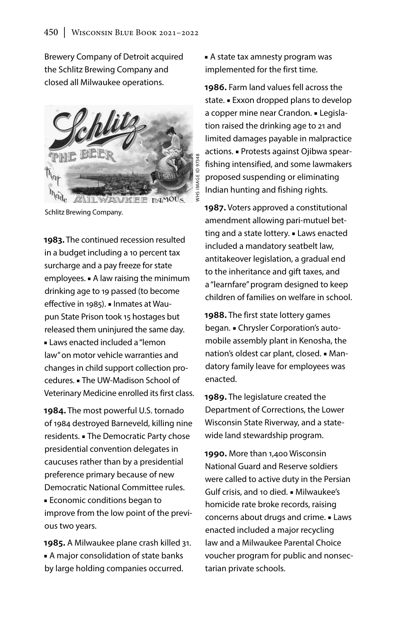Brewery Company of Detroit acquired the Schlitz Brewing Company and closed all Milwaukee operations.



Schlitz Brewing Company.

**1983.** The continued recession resulted in a budget including a 10 percent tax surcharge and a pay freeze for state employees. ■ A law raising the minimum drinking age to 19 passed (to become effective in 1985). ■ Inmates at Waupun State Prison took 15 hostages but released them uninjured the same day. ■ Laws enacted included a "lemon law" on motor vehicle warranties and changes in child support collection procedures. ■ The UW-Madison School of Veterinary Medicine enrolled its first class.

**1984.** The most powerful U.S. tornado of 1984 destroyed Barneveld, killing nine residents. ■ The Democratic Party chose presidential convention delegates in caucuses rather than by a presidential preference primary because of new Democratic National Committee rules. ■ Economic conditions began to improve from the low point of the previous two years.

**1985.** A Milwaukee plane crash killed 31. ■ A major consolidation of state banks by large holding companies occurred.

■ A state tax amnesty program was implemented for the first time.

**1986.** Farm land values fell across the state. ■ Exxon dropped plans to develop a copper mine near Crandon. ■ Legislation raised the drinking age to 21 and limited damages payable in malpractice actions. ■ Protests against Ojibwa spearfishing intensified, and some lawmakers proposed suspending or eliminating Indian hunting and fishing rights.

**1987.** Voters approved a constitutional amendment allowing pari-mutuel betting and a state lottery. ■ Laws enacted included a mandatory seatbelt law, antitakeover legislation, a gradual end to the inheritance and gift taxes, and a "learnfare" program designed to keep children of families on welfare in school.

**1988.** The first state lottery games began. ■ Chrysler Corporation's automobile assembly plant in Kenosha, the nation's oldest car plant, closed. ■ Mandatory family leave for employees was enacted.

**1989.** The legislature created the Department of Corrections, the Lower Wisconsin State Riverway, and a statewide land stewardship program.

**1990.** More than 1,400 Wisconsin National Guard and Reserve soldiers were called to active duty in the Persian Gulf crisis, and 10 died. ■ Milwaukee's homicide rate broke records, raising concerns about drugs and crime. ■ Laws enacted included a major recycling law and a Milwaukee Parental Choice voucher program for public and nonsectarian private schools.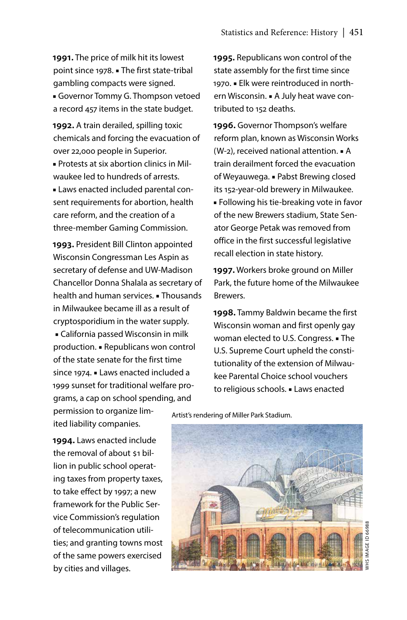**1991.** The price of milk hit its lowest point since 1978. ■ The first state-tribal gambling compacts were signed. ■ Governor Tommy G. Thompson vetoed a record 457 items in the state budget.

**1992.** A train derailed, spilling toxic chemicals and forcing the evacuation of over 22,000 people in Superior. ■ Protests at six abortion clinics in Mil-

waukee led to hundreds of arrests.

■ Laws enacted included parental consent requirements for abortion, health care reform, and the creation of a three-member Gaming Commission.

**1993.** President Bill Clinton appointed Wisconsin Congressman Les Aspin as secretary of defense and UW-Madison Chancellor Donna Shalala as secretary of health and human services. ■ Thousands in Milwaukee became ill as a result of cryptosporidium in the water supply. ■ California passed Wisconsin in milk production. ■ Republicans won control of the state senate for the first time since 1974. ■ Laws enacted included a 1999 sunset for traditional welfare programs, a cap on school spending, and

**1995.** Republicans won control of the state assembly for the first time since 1970. ■ Elk were reintroduced in northern Wisconsin. ■ A July heat wave contributed to 152 deaths.

**1996.** Governor Thompson's welfare reform plan, known as Wisconsin Works (W-2), received national attention. ■ A train derailment forced the evacuation of Weyauwega. ■ Pabst Brewing closed its 152-year-old brewery in Milwaukee. ■ Following his tie-breaking vote in favor of the new Brewers stadium, State Senator George Petak was removed from office in the first successful legislative recall election in state history.

**1997.** Workers broke ground on Miller Park, the future home of the Milwaukee Brewers.

**1998.** Tammy Baldwin became the first Wisconsin woman and first openly gay woman elected to U.S. Congress. ■ The U.S. Supreme Court upheld the constitutionality of the extension of Milwaukee Parental Choice school vouchers to religious schools. ■ Laws enacted

permission to organize limited liability companies.

**1994.** Laws enacted include the removal of about \$1 billion in public school operating taxes from property taxes, to take effect by 1997; a new framework for the Public Service Commission's regulation of telecommunication utilities; and granting towns most of the same powers exercised by cities and villages.

Artist's rendering of Miller Park Stadium.

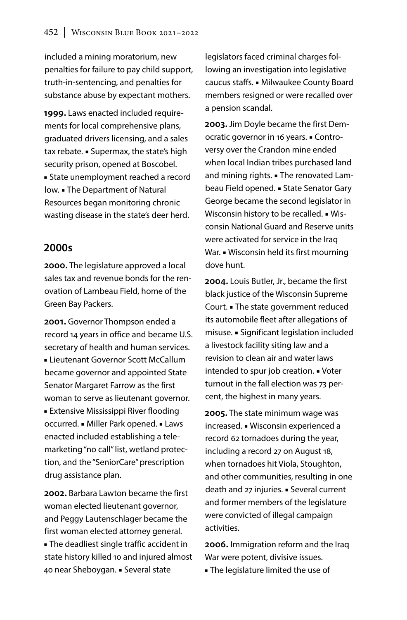included a mining moratorium, new penalties for failure to pay child support, truth-in-sentencing, and penalties for substance abuse by expectant mothers.

**1999.** Laws enacted included requirements for local comprehensive plans, graduated drivers licensing, and a sales tax rebate. ■ Supermax, the state's high security prison, opened at Boscobel. ■ State unemployment reached a record low. ■ The Department of Natural Resources began monitoring chronic wasting disease in the state's deer herd.

### **2000s**

**2000.** The legislature approved a local sales tax and revenue bonds for the renovation of Lambeau Field, home of the Green Bay Packers.

**2001.** Governor Thompson ended a record 14 years in office and became U.S. secretary of health and human services. ■ Lieutenant Governor Scott McCallum became governor and appointed State Senator Margaret Farrow as the first woman to serve as lieutenant governor. ■ Extensive Mississippi River flooding occurred. ■ Miller Park opened. ■ Laws enacted included establishing a telemarketing "no call" list, wetland protection, and the "SeniorCare" prescription drug assistance plan.

**2002.** Barbara Lawton became the first woman elected lieutenant governor, and Peggy Lautenschlager became the first woman elected attorney general. ■ The deadliest single traffic accident in state history killed 10 and injured almost 40 near Sheboygan. ■ Several state

legislators faced criminal charges following an investigation into legislative caucus staffs. ■ Milwaukee County Board members resigned or were recalled over a pension scandal.

**2003.** Jim Doyle became the first Democratic governor in 16 years. ■ Controversy over the Crandon mine ended when local Indian tribes purchased land and mining rights. ■ The renovated Lambeau Field opened. ■ State Senator Gary George became the second legislator in Wisconsin history to be recalled. ■ Wisconsin National Guard and Reserve units were activated for service in the Iraq War. • Wisconsin held its first mourning dove hunt.

**2004.** Louis Butler, Jr., became the first black justice of the Wisconsin Supreme Court. ■ The state government reduced its automobile fleet after allegations of misuse. ■ Significant legislation included a livestock facility siting law and a revision to clean air and water laws intended to spur job creation. ■ Voter turnout in the fall election was 73 percent, the highest in many years.

**2005.** The state minimum wage was increased. ■ Wisconsin experienced a record 62 tornadoes during the year, including a record 27 on August 18, when tornadoes hit Viola, Stoughton, and other communities, resulting in one death and 27 injuries. ■ Several current and former members of the legislature were convicted of illegal campaign activities.

**2006.** Immigration reform and the Iraq War were potent, divisive issues.

■ The legislature limited the use of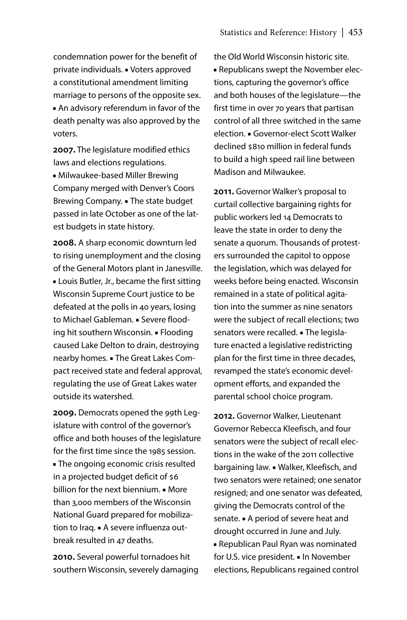condemnation power for the benefit of private individuals. ■ Voters approved a constitutional amendment limiting marriage to persons of the opposite sex. ■ An advisory referendum in favor of the death penalty was also approved by the voters.

**2007.** The legislature modified ethics laws and elections regulations.

■ Milwaukee-based Miller Brewing Company merged with Denver's Coors Brewing Company. ■ The state budget passed in late October as one of the latest budgets in state history.

**2008.** A sharp economic downturn led to rising unemployment and the closing of the General Motors plant in Janesville. ■ Louis Butler, Jr., became the first sitting Wisconsin Supreme Court justice to be defeated at the polls in 40 years, losing to Michael Gableman. ■ Severe flooding hit southern Wisconsin. ■ Flooding caused Lake Delton to drain, destroying nearby homes. ■ The Great Lakes Compact received state and federal approval, regulating the use of Great Lakes water outside its watershed.

**2009.** Democrats opened the 99th Legislature with control of the governor's office and both houses of the legislature for the first time since the 1985 session. ■ The ongoing economic crisis resulted in a projected budget deficit of \$6 billion for the next biennium. ■ More than 3,000 members of the Wisconsin National Guard prepared for mobilization to Iraq. ■ A severe influenza outbreak resulted in 47 deaths.

**2010.** Several powerful tornadoes hit southern Wisconsin, severely damaging the Old World Wisconsin historic site. ■ Republicans swept the November elections, capturing the governor's office and both houses of the legislature—the first time in over 70 years that partisan control of all three switched in the same election. ■ Governor-elect Scott Walker declined \$810 million in federal funds to build a high speed rail line between Madison and Milwaukee.

**2011.** Governor Walker's proposal to curtail collective bargaining rights for public workers led 14 Democrats to leave the state in order to deny the senate a quorum. Thousands of protesters surrounded the capitol to oppose the legislation, which was delayed for weeks before being enacted. Wisconsin remained in a state of political agitation into the summer as nine senators were the subject of recall elections; two senators were recalled. ■ The legislature enacted a legislative redistricting plan for the first time in three decades, revamped the state's economic development efforts, and expanded the parental school choice program.

**2012.** Governor Walker, Lieutenant Governor Rebecca Kleefisch, and four senators were the subject of recall elections in the wake of the 2011 collective bargaining law. ■ Walker, Kleefisch, and two senators were retained; one senator resigned; and one senator was defeated, giving the Democrats control of the senate. ■ A period of severe heat and drought occurred in June and July. ■ Republican Paul Ryan was nominated for U.S. vice president. ■ In November elections, Republicans regained control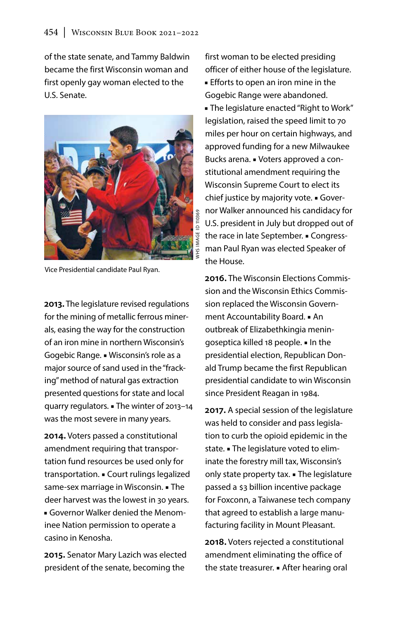of the state senate, and Tammy Baldwin became the first Wisconsin woman and first openly gay woman elected to the U.S. Senate.



Vice Presidential candidate Paul Ryan.

**2013.** The legislature revised regulations for the mining of metallic ferrous minerals, easing the way for the construction of an iron mine in northern Wisconsin's Gogebic Range. ■ Wisconsin's role as a major source of sand used in the "fracking" method of natural gas extraction presented questions for state and local quarry regulators. ■ The winter of 2013–14 was the most severe in many years.

**2014.** Voters passed a constitutional amendment requiring that transportation fund resources be used only for transportation. ■ Court rulings legalized same-sex marriage in Wisconsin. ■ The deer harvest was the lowest in 30 years. ■ Governor Walker denied the Menominee Nation permission to operate a casino in Kenosha.

**2015.** Senator Mary Lazich was elected president of the senate, becoming the

first woman to be elected presiding officer of either house of the legislature.

■ Efforts to open an iron mine in the Gogebic Range were abandoned.

■ The legislature enacted "Right to Work" legislation, raised the speed limit to 70 miles per hour on certain highways, and approved funding for a new Milwaukee Bucks arena. ■ Voters approved a constitutional amendment requiring the Wisconsin Supreme Court to elect its chief justice by majority vote. ■ Governor Walker announced his candidacy for U.S. president in July but dropped out of the race in late September. ■ Congressman Paul Ryan was elected Speaker of the House.

**2016.** The Wisconsin Elections Commission and the Wisconsin Ethics Commission replaced the Wisconsin Government Accountability Board. ■ An outbreak of Elizabethkingia meningoseptica killed 18 people. ■ In the presidential election, Republican Donald Trump became the first Republican presidential candidate to win Wisconsin since President Reagan in 1984.

**2017.** A special session of the legislature was held to consider and pass legislation to curb the opioid epidemic in the state. ■ The legislature voted to eliminate the forestry mill tax, Wisconsin's only state property tax. ■ The legislature passed a \$3 billion incentive package for Foxconn, a Taiwanese tech company that agreed to establish a large manufacturing facility in Mount Pleasant.

**2018.** Voters rejected a constitutional amendment eliminating the office of the state treasurer. ■ After hearing oral